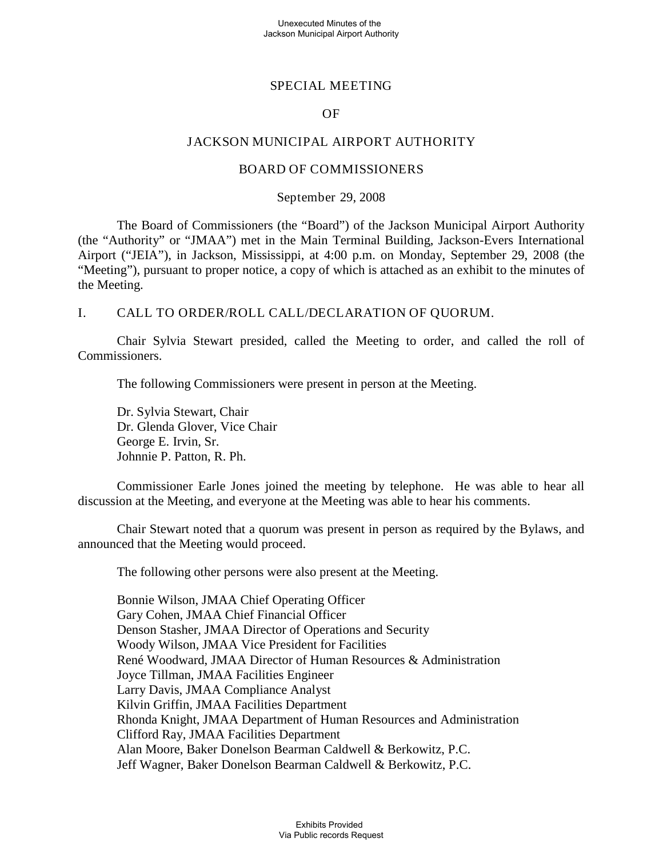## SPECIAL MEETING

### OF

### JACKSON MUNICIPAL AIRPORT AUTHORITY

### BOARD OF COMMISSIONERS

### September 29, 2008

The Board of Commissioners (the "Board") of the Jackson Municipal Airport Authority (the "Authority" or "JMAA") met in the Main Terminal Building, Jackson-Evers International Airport ("JEIA"), in Jackson, Mississippi, at 4:00 p.m. on Monday, September 29, 2008 (the "Meeting"), pursuant to proper notice, a copy of which is attached as an exhibit to the minutes of the Meeting.

### I. CALL TO ORDER/ROLL CALL/DECLARATION OF QUORUM.

Chair Sylvia Stewart presided, called the Meeting to order, and called the roll of Commissioners.

The following Commissioners were present in person at the Meeting.

Dr. Sylvia Stewart, Chair Dr. Glenda Glover, Vice Chair George E. Irvin, Sr. Johnnie P. Patton, R. Ph.

Commissioner Earle Jones joined the meeting by telephone. He was able to hear all discussion at the Meeting, and everyone at the Meeting was able to hear his comments.

Chair Stewart noted that a quorum was present in person as required by the Bylaws, and announced that the Meeting would proceed.

The following other persons were also present at the Meeting.

Bonnie Wilson, JMAA Chief Operating Officer Gary Cohen, JMAA Chief Financial Officer Denson Stasher, JMAA Director of Operations and Security Woody Wilson, JMAA Vice President for Facilities René Woodward, JMAA Director of Human Resources & Administration Joyce Tillman, JMAA Facilities Engineer Larry Davis, JMAA Compliance Analyst Kilvin Griffin, JMAA Facilities Department Rhonda Knight, JMAA Department of Human Resources and Administration Clifford Ray, JMAA Facilities Department Alan Moore, Baker Donelson Bearman Caldwell & Berkowitz, P.C. Jeff Wagner, Baker Donelson Bearman Caldwell & Berkowitz, P.C.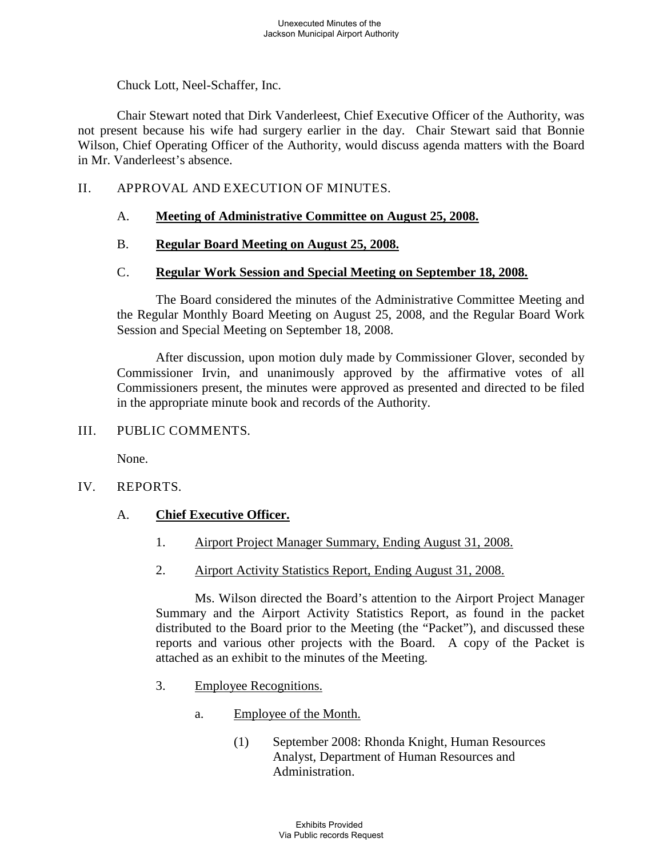Chuck Lott, Neel-Schaffer, Inc.

Chair Stewart noted that Dirk Vanderleest, Chief Executive Officer of the Authority, was not present because his wife had surgery earlier in the day. Chair Stewart said that Bonnie Wilson, Chief Operating Officer of the Authority, would discuss agenda matters with the Board in Mr. Vanderleest's absence.

## II. APPROVAL AND EXECUTION OF MINUTES.

#### A. **Meeting of Administrative Committee on August 25, 2008.**

#### B. **Regular Board Meeting on August 25, 2008.**

#### $C_{\cdot}$ **Regular Work Session and Special Meeting on September 18, 2008.**

The Board considered the minutes of the Administrative Committee Meeting and the Regular Monthly Board Meeting on August 25, 2008, and the Regular Board Work Session and Special Meeting on September 18, 2008.

After discussion, upon motion duly made by Commissioner Glover, seconded by Commissioner Irvin, and unanimously approved by the affirmative votes of all Commissioners present, the minutes were approved as presented and directed to be filed in the appropriate minute book and records of the Authority.

## III. PUBLIC COMMENTS.

None.

IV. REPORTS.

#### A. **Chief Executive Officer.**

- 1. Airport Project Manager Summary, Ending August 31, 2008.
- 2. Airport Activity Statistics Report, Ending August 31, 2008.

Ms. Wilson directed the Board's attention to the Airport Project Manager Summary and the Airport Activity Statistics Report, as found in the packet distributed to the Board prior to the Meeting (the "Packet"), and discussed these reports and various other projects with the Board. A copy of the Packet is attached as an exhibit to the minutes of the Meeting.

- 3. Employee Recognitions.
	- a. Employee of the Month.
		- (1) September 2008: Rhonda Knight, Human Resources Analyst, Department of Human Resources and Administration.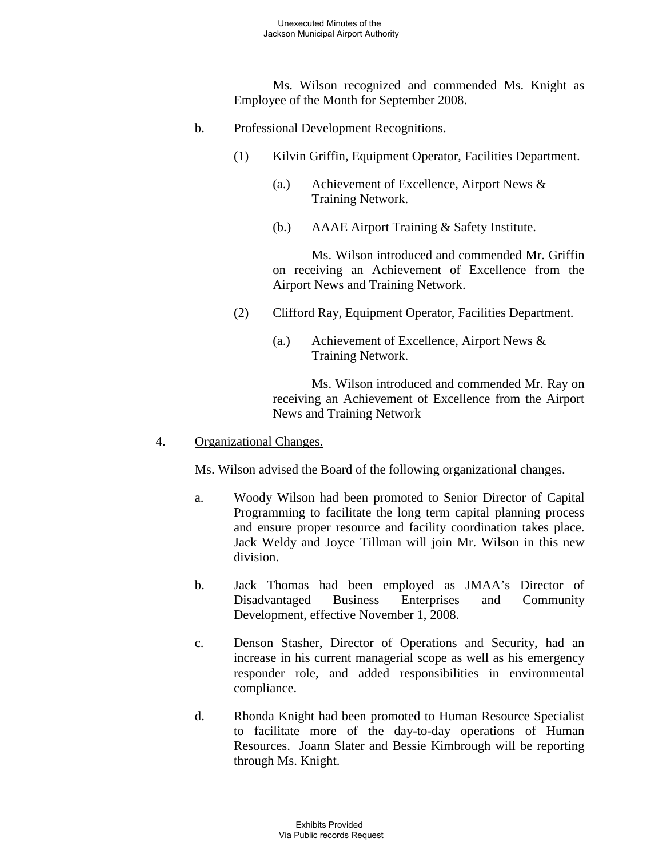Ms. Wilson recognized and commended Ms. Knight as Employee of the Month for September 2008.

- b. Professional Development Recognitions.
	- (1) Kilvin Griffin, Equipment Operator, Facilities Department.
		- (a.) Achievement of Excellence, Airport News & Training Network.
		- (b.) AAAE Airport Training & Safety Institute.

Ms. Wilson introduced and commended Mr. Griffin on receiving an Achievement of Excellence from the Airport News and Training Network.

- (2) Clifford Ray, Equipment Operator, Facilities Department.
	- (a.) Achievement of Excellence, Airport News & Training Network.

Ms. Wilson introduced and commended Mr. Ray on receiving an Achievement of Excellence from the Airport News and Training Network

4. Organizational Changes.

Ms. Wilson advised the Board of the following organizational changes.

- a. Woody Wilson had been promoted to Senior Director of Capital Programming to facilitate the long term capital planning process and ensure proper resource and facility coordination takes place. Jack Weldy and Joyce Tillman will join Mr. Wilson in this new division.
- b. Jack Thomas had been employed as JMAA's Director of Disadvantaged Business Enterprises and Community Development, effective November 1, 2008.
- c. Denson Stasher, Director of Operations and Security, had an increase in his current managerial scope as well as his emergency responder role, and added responsibilities in environmental compliance.
- d. Rhonda Knight had been promoted to Human Resource Specialist to facilitate more of the day-to-day operations of Human Resources. Joann Slater and Bessie Kimbrough will be reporting through Ms. Knight.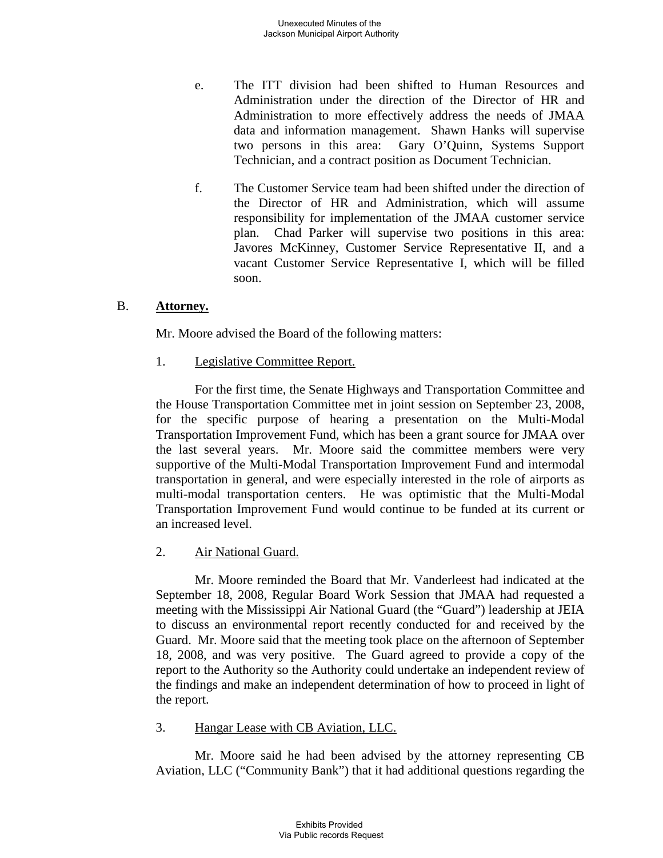- e. The ITT division had been shifted to Human Resources and Administration under the direction of the Director of HR and Administration to more effectively address the needs of JMAA data and information management. Shawn Hanks will supervise two persons in this area: Gary O'Quinn, Systems Support Technician, and a contract position as Document Technician.
- f. The Customer Service team had been shifted under the direction of the Director of HR and Administration, which will assume responsibility for implementation of the JMAA customer service plan. Chad Parker will supervise two positions in this area: Javores McKinney, Customer Service Representative II, and a vacant Customer Service Representative I, which will be filled soon.

#### B. **Attorney.**

Mr. Moore advised the Board of the following matters:

1. Legislative Committee Report.

For the first time, the Senate Highways and Transportation Committee and the House Transportation Committee met in joint session on September 23, 2008, for the specific purpose of hearing a presentation on the Multi-Modal Transportation Improvement Fund, which has been a grant source for JMAA over the last several years. Mr. Moore said the committee members were very supportive of the Multi-Modal Transportation Improvement Fund and intermodal transportation in general, and were especially interested in the role of airports as multi-modal transportation centers. He was optimistic that the Multi-Modal Transportation Improvement Fund would continue to be funded at its current or an increased level.

2. Air National Guard.

Mr. Moore reminded the Board that Mr. Vanderleest had indicated at the September 18, 2008, Regular Board Work Session that JMAA had requested a meeting with the Mississippi Air National Guard (the "Guard") leadership at JEIA to discuss an environmental report recently conducted for and received by the Guard. Mr. Moore said that the meeting took place on the afternoon of September 18, 2008, and was very positive. The Guard agreed to provide a copy of the report to the Authority so the Authority could undertake an independent review of the findings and make an independent determination of how to proceed in light of the report.

3. Hangar Lease with CB Aviation, LLC.

Mr. Moore said he had been advised by the attorney representing CB Aviation, LLC ("Community Bank") that it had additional questions regarding the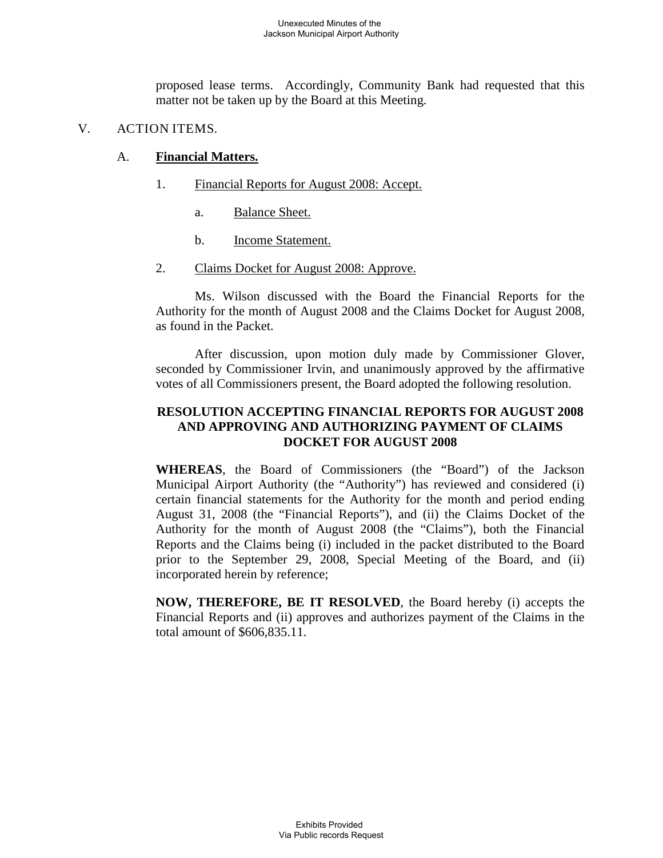proposed lease terms. Accordingly, Community Bank had requested that this matter not be taken up by the Board at this Meeting.

### V. ACTION ITEMS.

#### A. **Financial Matters.**

- 1. Financial Reports for August 2008: Accept.
	- a. Balance Sheet.
	- b. Income Statement.
- 2. Claims Docket for August 2008: Approve.

Ms. Wilson discussed with the Board the Financial Reports for the Authority for the month of August 2008 and the Claims Docket for August 2008, as found in the Packet.

After discussion, upon motion duly made by Commissioner Glover, seconded by Commissioner Irvin, and unanimously approved by the affirmative votes of all Commissioners present, the Board adopted the following resolution.

## **RESOLUTION ACCEPTING FINANCIAL REPORTS FOR AUGUST 2008 AND APPROVING AND AUTHORIZING PAYMENT OF CLAIMS DOCKET FOR AUGUST 2008**

**WHEREAS**, the Board of Commissioners (the "Board") of the Jackson Municipal Airport Authority (the "Authority") has reviewed and considered (i) certain financial statements for the Authority for the month and period ending August 31, 2008 (the "Financial Reports"), and (ii) the Claims Docket of the Authority for the month of August 2008 (the "Claims"), both the Financial Reports and the Claims being (i) included in the packet distributed to the Board prior to the September 29, 2008, Special Meeting of the Board, and (ii) incorporated herein by reference;

**NOW, THEREFORE, BE IT RESOLVED**, the Board hereby (i) accepts the Financial Reports and (ii) approves and authorizes payment of the Claims in the total amount of \$606,835.11.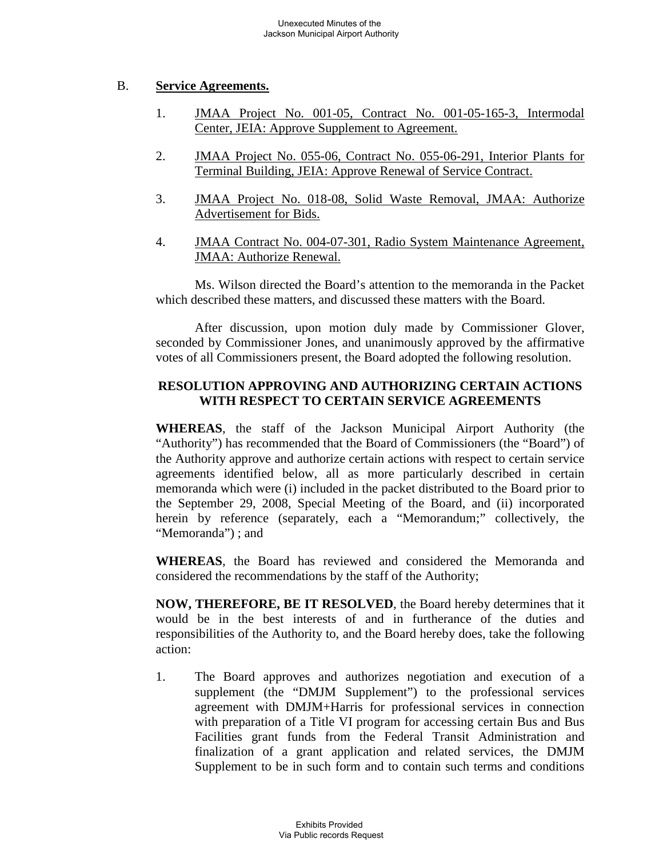#### B. **Service Agreements.**

- 1. JMAA Project No. 001-05, Contract No. 001-05-165-3, Intermodal Center, JEIA: Approve Supplement to Agreement.
- 2. JMAA Project No. 055-06, Contract No. 055-06-291, Interior Plants for Terminal Building, JEIA: Approve Renewal of Service Contract.
- 3. JMAA Project No. 018-08, Solid Waste Removal, JMAA: Authorize Advertisement for Bids.
- 4. JMAA Contract No. 004-07-301, Radio System Maintenance Agreement, JMAA: Authorize Renewal.

Ms. Wilson directed the Board's attention to the memoranda in the Packet which described these matters, and discussed these matters with the Board.

After discussion, upon motion duly made by Commissioner Glover, seconded by Commissioner Jones, and unanimously approved by the affirmative votes of all Commissioners present, the Board adopted the following resolution.

## **RESOLUTION APPROVING AND AUTHORIZING CERTAIN ACTIONS WITH RESPECT TO CERTAIN SERVICE AGREEMENTS**

**WHEREAS**, the staff of the Jackson Municipal Airport Authority (the "Authority") has recommended that the Board of Commissioners (the "Board") of the Authority approve and authorize certain actions with respect to certain service agreements identified below, all as more particularly described in certain memoranda which were (i) included in the packet distributed to the Board prior to the September 29, 2008, Special Meeting of the Board, and (ii) incorporated herein by reference (separately, each a "Memorandum;" collectively, the "Memoranda") ; and

**WHEREAS**, the Board has reviewed and considered the Memoranda and considered the recommendations by the staff of the Authority;

**NOW, THEREFORE, BE IT RESOLVED**, the Board hereby determines that it would be in the best interests of and in furtherance of the duties and responsibilities of the Authority to, and the Board hereby does, take the following action:

1. The Board approves and authorizes negotiation and execution of a supplement (the "DMJM Supplement") to the professional services agreement with DMJM+Harris for professional services in connection with preparation of a Title VI program for accessing certain Bus and Bus Facilities grant funds from the Federal Transit Administration and finalization of a grant application and related services, the DMJM Supplement to be in such form and to contain such terms and conditions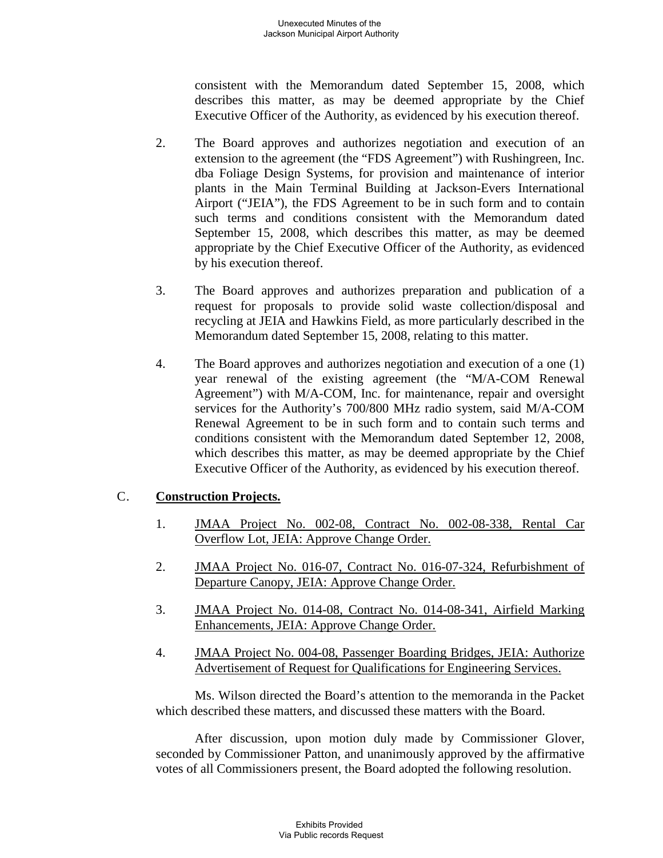consistent with the Memorandum dated September 15, 2008, which describes this matter, as may be deemed appropriate by the Chief Executive Officer of the Authority, as evidenced by his execution thereof.

- 2. The Board approves and authorizes negotiation and execution of an extension to the agreement (the "FDS Agreement") with Rushingreen, Inc. dba Foliage Design Systems, for provision and maintenance of interior plants in the Main Terminal Building at Jackson-Evers International Airport ("JEIA"), the FDS Agreement to be in such form and to contain such terms and conditions consistent with the Memorandum dated September 15, 2008, which describes this matter, as may be deemed appropriate by the Chief Executive Officer of the Authority, as evidenced by his execution thereof.
- 3. The Board approves and authorizes preparation and publication of a request for proposals to provide solid waste collection/disposal and recycling at JEIA and Hawkins Field, as more particularly described in the Memorandum dated September 15, 2008, relating to this matter.
- 4. The Board approves and authorizes negotiation and execution of a one (1) year renewal of the existing agreement (the "M/A-COM Renewal Agreement") with M/A-COM, Inc. for maintenance, repair and oversight services for the Authority's 700/800 MHz radio system, said M/A-COM Renewal Agreement to be in such form and to contain such terms and conditions consistent with the Memorandum dated September 12, 2008, which describes this matter, as may be deemed appropriate by the Chief Executive Officer of the Authority, as evidenced by his execution thereof.

#### C. **Construction Projects.**

- 1. JMAA Project No. 002-08, Contract No. 002-08-338, Rental Car Overflow Lot, JEIA: Approve Change Order.
- 2. JMAA Project No. 016-07, Contract No. 016-07-324, Refurbishment of Departure Canopy, JEIA: Approve Change Order.
- 3. JMAA Project No. 014-08, Contract No. 014-08-341, Airfield Marking Enhancements, JEIA: Approve Change Order.
- 4. JMAA Project No. 004-08, Passenger Boarding Bridges, JEIA: Authorize Advertisement of Request for Qualifications for Engineering Services.

Ms. Wilson directed the Board's attention to the memoranda in the Packet which described these matters, and discussed these matters with the Board.

After discussion, upon motion duly made by Commissioner Glover, seconded by Commissioner Patton, and unanimously approved by the affirmative votes of all Commissioners present, the Board adopted the following resolution.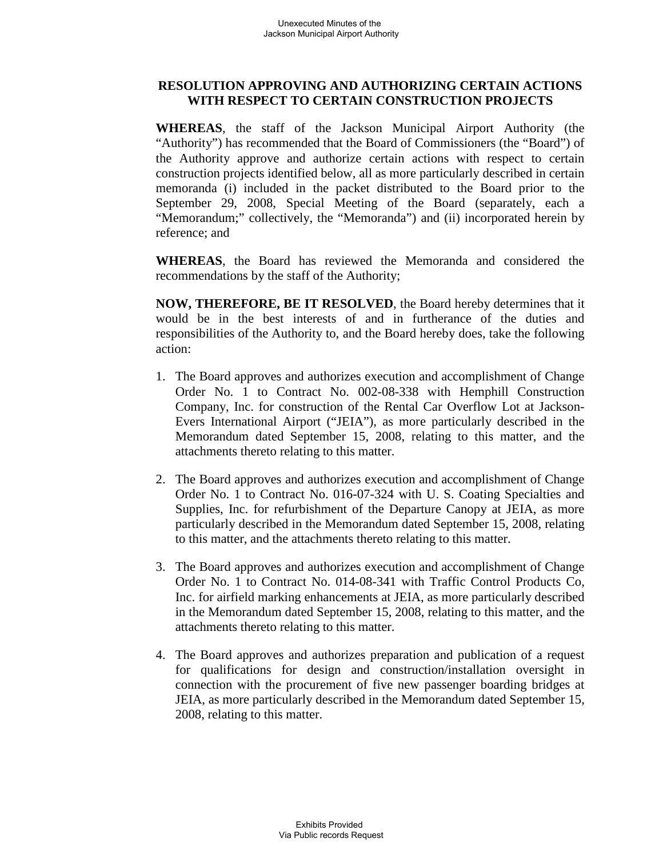## **RESOLUTION APPROVING AND AUTHORIZING CERTAIN ACTIONS WITH RESPECT TO CERTAIN CONSTRUCTION PROJECTS**

**WHEREAS**, the staff of the Jackson Municipal Airport Authority (the "Authority") has recommended that the Board of Commissioners (the "Board") of the Authority approve and authorize certain actions with respect to certain construction projects identified below, all as more particularly described in certain memoranda (i) included in the packet distributed to the Board prior to the September 29, 2008, Special Meeting of the Board (separately, each a "Memorandum;" collectively, the "Memoranda") and (ii) incorporated herein by reference; and

**WHEREAS**, the Board has reviewed the Memoranda and considered the recommendations by the staff of the Authority;

**NOW, THEREFORE, BE IT RESOLVED**, the Board hereby determines that it would be in the best interests of and in furtherance of the duties and responsibilities of the Authority to, and the Board hereby does, take the following action:

- 1. The Board approves and authorizes execution and accomplishment of Change Order No. 1 to Contract No. 002-08-338 with Hemphill Construction Company, Inc. for construction of the Rental Car Overflow Lot at Jackson-Evers International Airport ("JEIA"), as more particularly described in the Memorandum dated September 15, 2008, relating to this matter, and the attachments thereto relating to this matter.
- 2. The Board approves and authorizes execution and accomplishment of Change Order No. 1 to Contract No. 016-07-324 with U. S. Coating Specialties and Supplies, Inc. for refurbishment of the Departure Canopy at JEIA, as more particularly described in the Memorandum dated September 15, 2008, relating to this matter, and the attachments thereto relating to this matter.
- 3. The Board approves and authorizes execution and accomplishment of Change Order No. 1 to Contract No. 014-08-341 with Traffic Control Products Co, Inc. for airfield marking enhancements at JEIA, as more particularly described in the Memorandum dated September 15, 2008, relating to this matter, and the attachments thereto relating to this matter.
- 4. The Board approves and authorizes preparation and publication of a request for qualifications for design and construction/installation oversight in connection with the procurement of five new passenger boarding bridges at JEIA, as more particularly described in the Memorandum dated September 15, 2008, relating to this matter.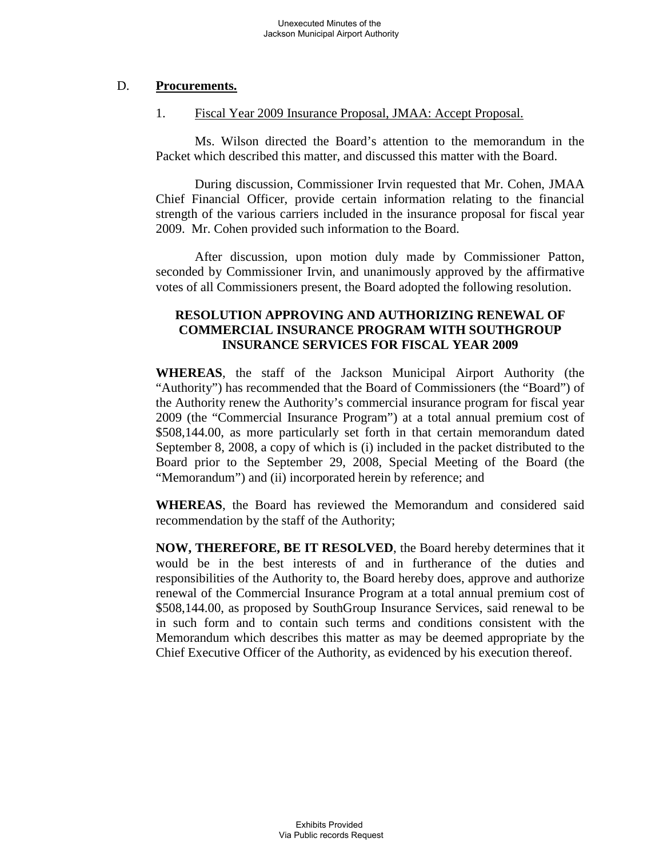#### D. **Procurements.**

#### 1. Fiscal Year 2009 Insurance Proposal, JMAA: Accept Proposal.

Ms. Wilson directed the Board's attention to the memorandum in the Packet which described this matter, and discussed this matter with the Board.

During discussion, Commissioner Irvin requested that Mr. Cohen, JMAA Chief Financial Officer, provide certain information relating to the financial strength of the various carriers included in the insurance proposal for fiscal year 2009. Mr. Cohen provided such information to the Board.

After discussion, upon motion duly made by Commissioner Patton, seconded by Commissioner Irvin, and unanimously approved by the affirmative votes of all Commissioners present, the Board adopted the following resolution.

## **RESOLUTION APPROVING AND AUTHORIZING RENEWAL OF COMMERCIAL INSURANCE PROGRAM WITH SOUTHGROUP INSURANCE SERVICES FOR FISCAL YEAR 2009**

**WHEREAS**, the staff of the Jackson Municipal Airport Authority (the "Authority") has recommended that the Board of Commissioners (the "Board") of the Authority renew the Authority's commercial insurance program for fiscal year 2009 (the "Commercial Insurance Program") at a total annual premium cost of \$508,144.00, as more particularly set forth in that certain memorandum dated September 8, 2008, a copy of which is (i) included in the packet distributed to the Board prior to the September 29, 2008, Special Meeting of the Board (the "Memorandum") and (ii) incorporated herein by reference; and

**WHEREAS**, the Board has reviewed the Memorandum and considered said recommendation by the staff of the Authority;

**NOW, THEREFORE, BE IT RESOLVED**, the Board hereby determines that it would be in the best interests of and in furtherance of the duties and responsibilities of the Authority to, the Board hereby does, approve and authorize renewal of the Commercial Insurance Program at a total annual premium cost of \$508,144.00, as proposed by SouthGroup Insurance Services, said renewal to be in such form and to contain such terms and conditions consistent with the Memorandum which describes this matter as may be deemed appropriate by the Chief Executive Officer of the Authority, as evidenced by his execution thereof.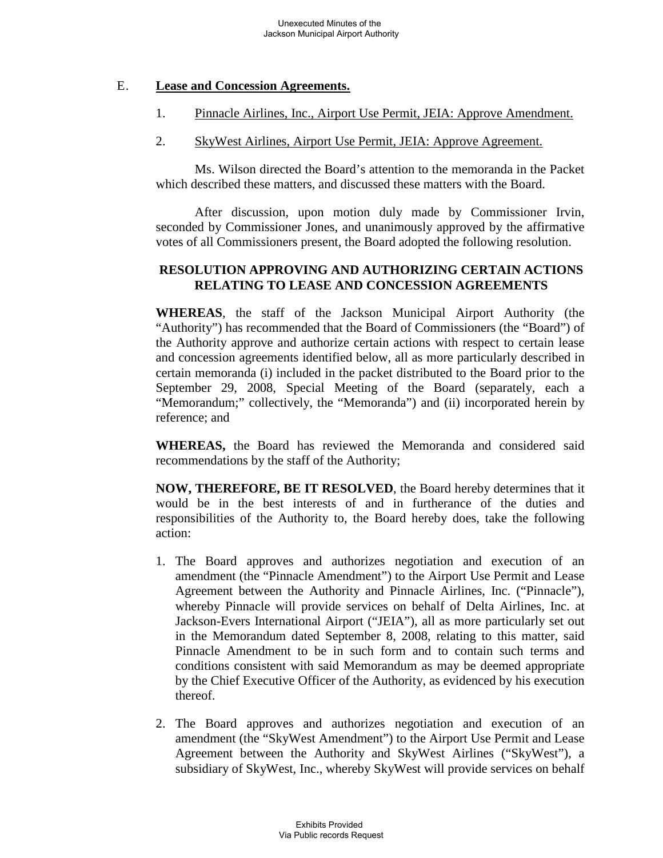#### E. **Lease and Concession Agreements.**

- 1. Pinnacle Airlines, Inc., Airport Use Permit, JEIA: Approve Amendment.
- 2. SkyWest Airlines, Airport Use Permit, JEIA: Approve Agreement.

Ms. Wilson directed the Board's attention to the memoranda in the Packet which described these matters, and discussed these matters with the Board.

After discussion, upon motion duly made by Commissioner Irvin, seconded by Commissioner Jones, and unanimously approved by the affirmative votes of all Commissioners present, the Board adopted the following resolution.

## **RESOLUTION APPROVING AND AUTHORIZING CERTAIN ACTIONS RELATING TO LEASE AND CONCESSION AGREEMENTS**

**WHEREAS**, the staff of the Jackson Municipal Airport Authority (the "Authority") has recommended that the Board of Commissioners (the "Board") of the Authority approve and authorize certain actions with respect to certain lease and concession agreements identified below, all as more particularly described in certain memoranda (i) included in the packet distributed to the Board prior to the September 29, 2008, Special Meeting of the Board (separately, each a "Memorandum;" collectively, the "Memoranda") and (ii) incorporated herein by reference; and

**WHEREAS,** the Board has reviewed the Memoranda and considered said recommendations by the staff of the Authority;

**NOW, THEREFORE, BE IT RESOLVED**, the Board hereby determines that it would be in the best interests of and in furtherance of the duties and responsibilities of the Authority to, the Board hereby does, take the following action:

- 1. The Board approves and authorizes negotiation and execution of an amendment (the "Pinnacle Amendment") to the Airport Use Permit and Lease Agreement between the Authority and Pinnacle Airlines, Inc. ("Pinnacle"), whereby Pinnacle will provide services on behalf of Delta Airlines, Inc. at Jackson-Evers International Airport ("JEIA"), all as more particularly set out in the Memorandum dated September 8, 2008, relating to this matter, said Pinnacle Amendment to be in such form and to contain such terms and conditions consistent with said Memorandum as may be deemed appropriate by the Chief Executive Officer of the Authority, as evidenced by his execution thereof.
- 2. The Board approves and authorizes negotiation and execution of an amendment (the "SkyWest Amendment") to the Airport Use Permit and Lease Agreement between the Authority and SkyWest Airlines ("SkyWest"), a subsidiary of SkyWest, Inc., whereby SkyWest will provide services on behalf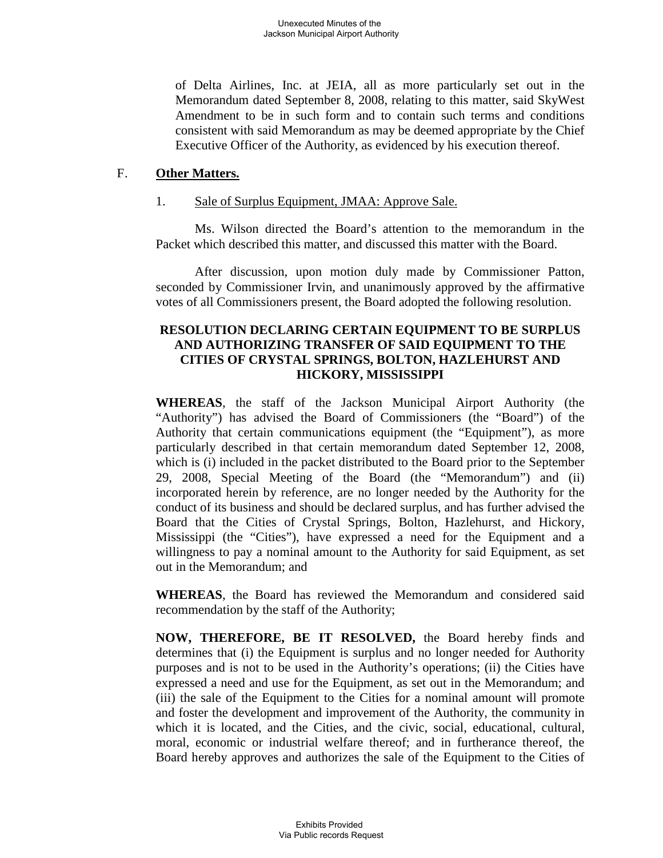of Delta Airlines, Inc. at JEIA, all as more particularly set out in the Memorandum dated September 8, 2008, relating to this matter, said SkyWest Amendment to be in such form and to contain such terms and conditions consistent with said Memorandum as may be deemed appropriate by the Chief Executive Officer of the Authority, as evidenced by his execution thereof.

#### F. **Other Matters.**

#### 1. Sale of Surplus Equipment, JMAA: Approve Sale.

Ms. Wilson directed the Board's attention to the memorandum in the Packet which described this matter, and discussed this matter with the Board.

After discussion, upon motion duly made by Commissioner Patton, seconded by Commissioner Irvin, and unanimously approved by the affirmative votes of all Commissioners present, the Board adopted the following resolution.

## **RESOLUTION DECLARING CERTAIN EQUIPMENT TO BE SURPLUS AND AUTHORIZING TRANSFER OF SAID EQUIPMENT TO THE CITIES OF CRYSTAL SPRINGS, BOLTON, HAZLEHURST AND HICKORY, MISSISSIPPI**

**WHEREAS**, the staff of the Jackson Municipal Airport Authority (the "Authority") has advised the Board of Commissioners (the "Board") of the Authority that certain communications equipment (the "Equipment"), as more particularly described in that certain memorandum dated September 12, 2008, which is (i) included in the packet distributed to the Board prior to the September 29, 2008, Special Meeting of the Board (the "Memorandum") and (ii) incorporated herein by reference, are no longer needed by the Authority for the conduct of its business and should be declared surplus, and has further advised the Board that the Cities of Crystal Springs, Bolton, Hazlehurst, and Hickory, Mississippi (the "Cities"), have expressed a need for the Equipment and a willingness to pay a nominal amount to the Authority for said Equipment, as set out in the Memorandum; and

**WHEREAS**, the Board has reviewed the Memorandum and considered said recommendation by the staff of the Authority;

**NOW, THEREFORE, BE IT RESOLVED,** the Board hereby finds and determines that (i) the Equipment is surplus and no longer needed for Authority purposes and is not to be used in the Authority's operations; (ii) the Cities have expressed a need and use for the Equipment, as set out in the Memorandum; and (iii) the sale of the Equipment to the Cities for a nominal amount will promote and foster the development and improvement of the Authority, the community in which it is located, and the Cities, and the civic, social, educational, cultural, moral, economic or industrial welfare thereof; and in furtherance thereof, the Board hereby approves and authorizes the sale of the Equipment to the Cities of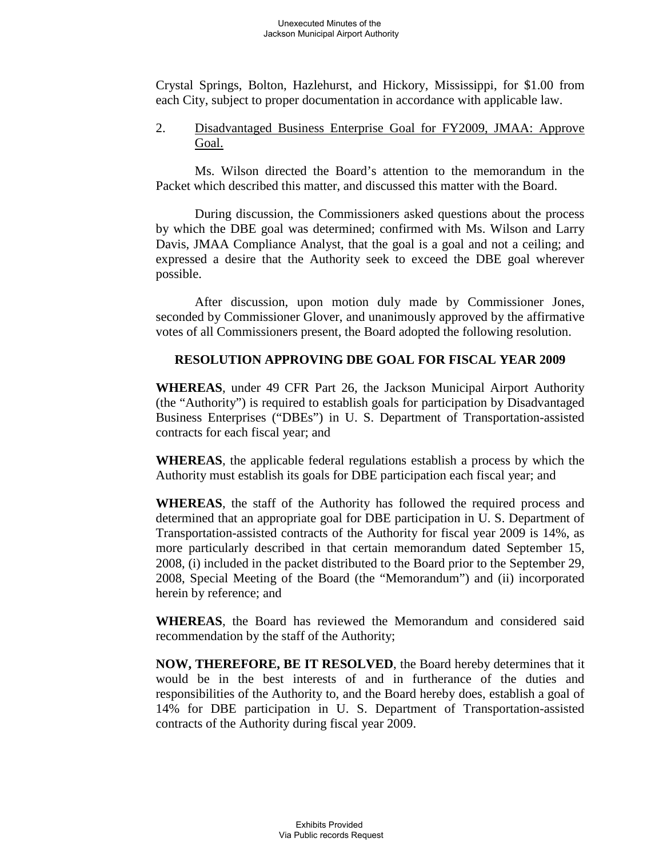Crystal Springs, Bolton, Hazlehurst, and Hickory, Mississippi, for \$1.00 from each City, subject to proper documentation in accordance with applicable law.

2. Disadvantaged Business Enterprise Goal for FY2009, JMAA: Approve Goal.

Ms. Wilson directed the Board's attention to the memorandum in the Packet which described this matter, and discussed this matter with the Board.

During discussion, the Commissioners asked questions about the process by which the DBE goal was determined; confirmed with Ms. Wilson and Larry Davis, JMAA Compliance Analyst, that the goal is a goal and not a ceiling; and expressed a desire that the Authority seek to exceed the DBE goal wherever possible.

After discussion, upon motion duly made by Commissioner Jones, seconded by Commissioner Glover, and unanimously approved by the affirmative votes of all Commissioners present, the Board adopted the following resolution.

## **RESOLUTION APPROVING DBE GOAL FOR FISCAL YEAR 2009**

**WHEREAS**, under 49 CFR Part 26, the Jackson Municipal Airport Authority (the "Authority") is required to establish goals for participation by Disadvantaged Business Enterprises ("DBEs") in U. S. Department of Transportation-assisted contracts for each fiscal year; and

**WHEREAS**, the applicable federal regulations establish a process by which the Authority must establish its goals for DBE participation each fiscal year; and

**WHEREAS**, the staff of the Authority has followed the required process and determined that an appropriate goal for DBE participation in U. S. Department of Transportation-assisted contracts of the Authority for fiscal year 2009 is 14%, as more particularly described in that certain memorandum dated September 15, 2008, (i) included in the packet distributed to the Board prior to the September 29, 2008, Special Meeting of the Board (the "Memorandum") and (ii) incorporated herein by reference; and

**WHEREAS**, the Board has reviewed the Memorandum and considered said recommendation by the staff of the Authority;

**NOW, THEREFORE, BE IT RESOLVED**, the Board hereby determines that it would be in the best interests of and in furtherance of the duties and responsibilities of the Authority to, and the Board hereby does, establish a goal of 14% for DBE participation in U. S. Department of Transportation-assisted contracts of the Authority during fiscal year 2009.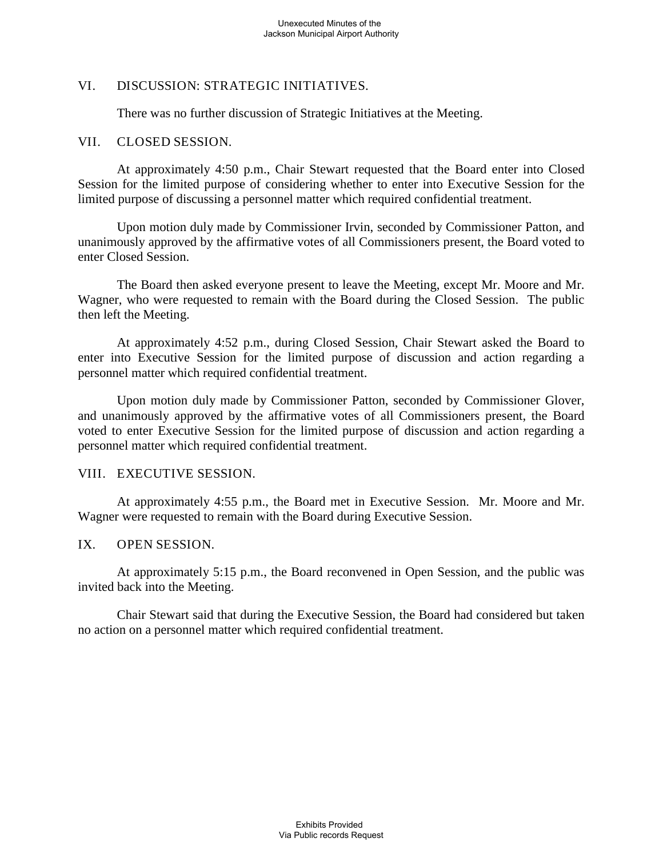## VI. DISCUSSION: STRATEGIC INITIATIVES.

There was no further discussion of Strategic Initiatives at the Meeting.

### VII. CLOSED SESSION.

At approximately 4:50 p.m., Chair Stewart requested that the Board enter into Closed Session for the limited purpose of considering whether to enter into Executive Session for the limited purpose of discussing a personnel matter which required confidential treatment.

Upon motion duly made by Commissioner Irvin, seconded by Commissioner Patton, and unanimously approved by the affirmative votes of all Commissioners present, the Board voted to enter Closed Session.

The Board then asked everyone present to leave the Meeting, except Mr. Moore and Mr. Wagner, who were requested to remain with the Board during the Closed Session. The public then left the Meeting.

At approximately 4:52 p.m., during Closed Session, Chair Stewart asked the Board to enter into Executive Session for the limited purpose of discussion and action regarding a personnel matter which required confidential treatment.

Upon motion duly made by Commissioner Patton, seconded by Commissioner Glover, and unanimously approved by the affirmative votes of all Commissioners present, the Board voted to enter Executive Session for the limited purpose of discussion and action regarding a personnel matter which required confidential treatment.

### VIII. EXECUTIVE SESSION.

At approximately 4:55 p.m., the Board met in Executive Session. Mr. Moore and Mr. Wagner were requested to remain with the Board during Executive Session.

### IX. OPEN SESSION.

At approximately 5:15 p.m., the Board reconvened in Open Session, and the public was invited back into the Meeting.

Chair Stewart said that during the Executive Session, the Board had considered but taken no action on a personnel matter which required confidential treatment.